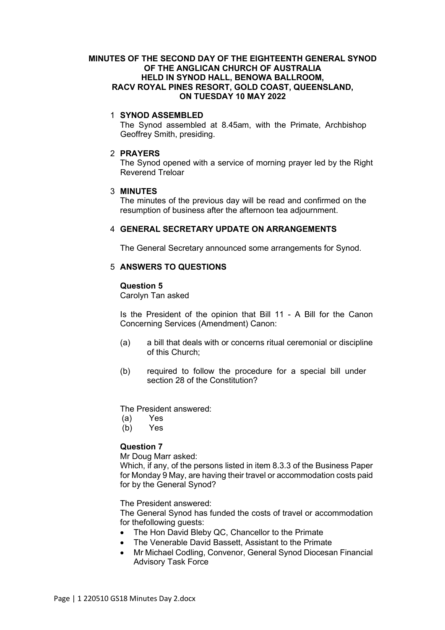### **MINUTES OF THE SECOND DAY OF THE EIGHTEENTH GENERAL SYNOD OF THE ANGLICAN CHURCH OF AUSTRALIA HELD IN SYNOD HALL, BENOWA BALLROOM, RACV ROYAL PINES RESORT, GOLD COAST, QUEENSLAND, ON TUESDAY 10 MAY 2022**

### 1 **SYNOD ASSEMBLED**

The Synod assembled at 8.45am, with the Primate, Archbishop Geoffrey Smith, presiding.

### 2 **PRAYERS**

The Synod opened with a service of morning prayer led by the Right Reverend Treloar

### 3 **MINUTES**

The minutes of the previous day will be read and confirmed on the resumption of business after the afternoon tea adjournment.

# 4 **GENERAL SECRETARY UPDATE ON ARRANGEMENTS**

The General Secretary announced some arrangements for Synod.

# 5 **ANSWERS TO QUESTIONS**

#### **Question 5**

Carolyn Tan asked

Is the President of the opinion that Bill 11 - A Bill for the Canon Concerning Services (Amendment) Canon:

- (a) a bill that deals with or concerns ritual ceremonial or discipline of this Church;
- (b) required to follow the procedure for a special bill under section 28 of the Constitution?

The President answered:

- (a) Yes
- (b) Yes

# **Question 7**

Mr Doug Marr asked:

Which, if any, of the persons listed in item 8.3.3 of the Business Paper for Monday 9 May, are having their travel or accommodation costs paid for by the General Synod?

The President answered:

The General Synod has funded the costs of travel or accommodation for thefollowing guests:

- The Hon David Bleby QC, Chancellor to the Primate
- The Venerable David Bassett, Assistant to the Primate
- Mr Michael Codling, Convenor, General Synod Diocesan Financial Advisory Task Force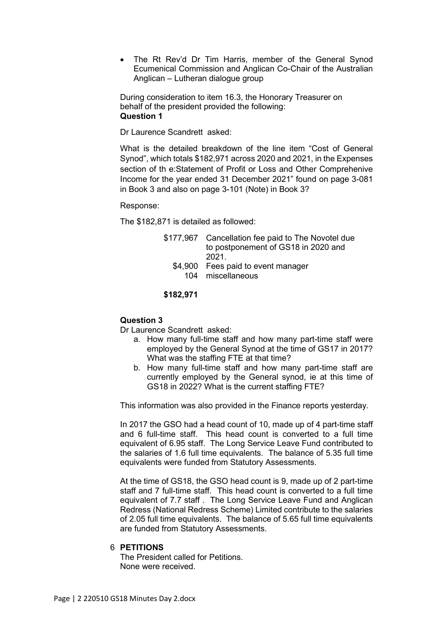• The Rt Rev'd Dr Tim Harris, member of the General Synod Ecumenical Commission and Anglican Co-Chair of the Australian Anglican – Lutheran dialogue group

During consideration to item 16.3, the Honorary Treasurer on behalf of the president provided the following: **Question 1** 

Dr Laurence Scandrett asked:

What is the detailed breakdown of the line item "Cost of General Synod", which totals \$182,971 across 2020 and 2021, in the Expenses section of th e:Statement of Profit or Loss and Other Comprehenive Income for the year ended 31 December 2021" found on page 3-081 in Book 3 and also on page 3-101 (Note) in Book 3?

Response:

The \$182,871 is detailed as followed:

| \$177,967 Cancellation fee paid to The Novotel due |
|----------------------------------------------------|
| to postponement of GS18 in 2020 and                |
| 2021                                               |
| \$4,900 Fees paid to event manager                 |
| 104 miscellaneous                                  |

### **\$182,971**

#### **Question 3**

Dr Laurence Scandrett asked:

- a. How many full-time staff and how many part-time staff were employed by the General Synod at the time of GS17 in 2017? What was the staffing FTE at that time?
- b. How many full-time staff and how many part-time staff are currently employed by the General synod, ie at this time of GS18 in 2022? What is the current staffing FTE?

This information was also provided in the Finance reports yesterday.

In 2017 the GSO had a head count of 10, made up of 4 part-time staff and 6 full-time staff. This head count is converted to a full time equivalent of 6.95 staff. The Long Service Leave Fund contributed to the salaries of 1.6 full time equivalents. The balance of 5.35 full time equivalents were funded from Statutory Assessments.

At the time of GS18, the GSO head count is 9, made up of 2 part-time staff and 7 full-time staff. This head count is converted to a full time equivalent of 7.7 staff . The Long Service Leave Fund and Anglican Redress (National Redress Scheme) Limited contribute to the salaries of 2.05 full time equivalents. The balance of 5.65 full time equivalents are funded from Statutory Assessments.

# 6 **PETITIONS**

The President called for Petitions. None were received.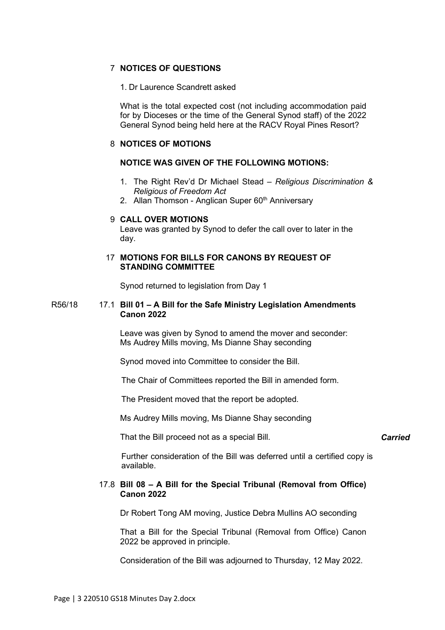# 7 **NOTICES OF QUESTIONS**

### 1. Dr Laurence Scandrett asked

What is the total expected cost (not including accommodation paid for by Dioceses or the time of the General Synod staff) of the 2022 General Synod being held here at the RACV Royal Pines Resort?

# 8 **NOTICES OF MOTIONS**

# **NOTICE WAS GIVEN OF THE FOLLOWING MOTIONS:**

- 1. The Right Rev'd Dr Michael Stead *Religious Discrimination & Religious of Freedom Act*
- 2. Allan Thomson Anglican Super 60<sup>th</sup> Anniversary

# 9 **CALL OVER MOTIONS**

Leave was granted by Synod to defer the call over to later in the day.

### 17 **MOTIONS FOR BILLS FOR CANONS BY REQUEST OF STANDING COMMITTEE**

Synod returned to legislation from Day 1

### R56/18 17.1 **Bill 01 – A Bill for the Safe Ministry Legislation Amendments Canon 2022**

Leave was given by Synod to amend the mover and seconder: Ms Audrey Mills moving, Ms Dianne Shay seconding

Synod moved into Committee to consider the Bill.

The Chair of Committees reported the Bill in amended form.

The President moved that the report be adopted.

Ms Audrey Mills moving, Ms Dianne Shay seconding

That the Bill proceed not as a special Bill.

#### *Carried*

Further consideration of the Bill was deferred until a certified copy is available.

### 17.8 **Bill 08 – A Bill for the Special Tribunal (Removal from Office) Canon 2022**

Dr Robert Tong AM moving, Justice Debra Mullins AO seconding

That a Bill for the Special Tribunal (Removal from Office) Canon 2022 be approved in principle.

Consideration of the Bill was adjourned to Thursday, 12 May 2022.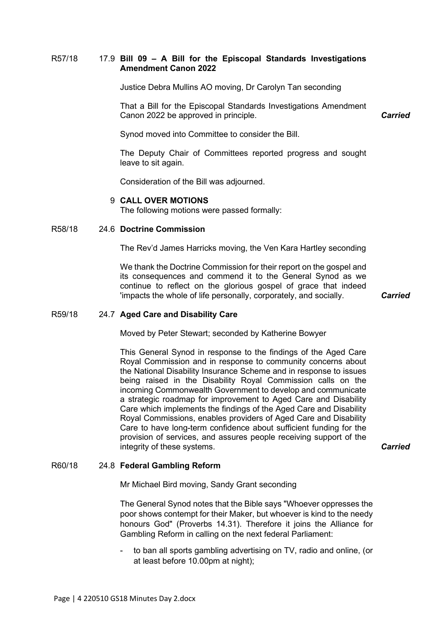### R57/18 17.9 **Bill 09 – A Bill for the Episcopal Standards Investigations Amendment Canon 2022**

Justice Debra Mullins AO moving, Dr Carolyn Tan seconding

That a Bill for the Episcopal Standards Investigations Amendment Canon 2022 be approved in principle.

*Carried*

Synod moved into Committee to consider the Bill.

The Deputy Chair of Committees reported progress and sought leave to sit again.

Consideration of the Bill was adjourned.

#### 9 **CALL OVER MOTIONS**

The following motions were passed formally:

#### R58/18 24.6 **Doctrine Commission**

The Rev'd James Harricks moving, the Ven Kara Hartley seconding

We thank the Doctrine Commission for their report on the gospel and its consequences and commend it to the General Synod as we continue to reflect on the glorious gospel of grace that indeed 'impacts the whole of life personally, corporately, and socially. *Carried*

#### R59/18 24.7 **Aged Care and Disability Care**

Moved by Peter Stewart; seconded by Katherine Bowyer

This General Synod in response to the findings of the Aged Care Royal Commission and in response to community concerns about the National Disability Insurance Scheme and in response to issues being raised in the Disability Royal Commission calls on the incoming Commonwealth Government to develop and communicate a strategic roadmap for improvement to Aged Care and Disability Care which implements the findings of the Aged Care and Disability Royal Commissions, enables providers of Aged Care and Disability Care to have long-term confidence about sufficient funding for the provision of services, and assures people receiving support of the integrity of these systems. *Carried*

#### R60/18 24.8 **Federal Gambling Reform**

Mr Michael Bird moving, Sandy Grant seconding

The General Synod notes that the Bible says "Whoever oppresses the poor shows contempt for their Maker, but whoever is kind to the needy honours God" (Proverbs 14.31). Therefore it joins the Alliance for Gambling Reform in calling on the next federal Parliament:

to ban all sports gambling advertising on TV, radio and online, (or at least before 10.00pm at night);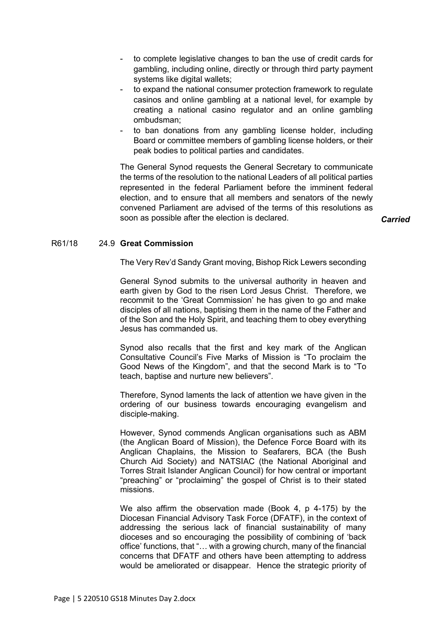- to complete legislative changes to ban the use of credit cards for gambling, including online, directly or through third party payment systems like digital wallets;
- to expand the national consumer protection framework to regulate casinos and online gambling at a national level, for example by creating a national casino regulator and an online gambling ombudsman;
- to ban donations from any gambling license holder, including Board or committee members of gambling license holders, or their peak bodies to political parties and candidates.

The General Synod requests the General Secretary to communicate the terms of the resolution to the national Leaders of all political parties represented in the federal Parliament before the imminent federal election, and to ensure that all members and senators of the newly convened Parliament are advised of the terms of this resolutions as soon as possible after the election is declared. *Carried*

#### R61/18 24.9 **Great Commission**

The Very Rev'd Sandy Grant moving, Bishop Rick Lewers seconding

General Synod submits to the universal authority in heaven and earth given by God to the risen Lord Jesus Christ. Therefore, we recommit to the 'Great Commission' he has given to go and make disciples of all nations, baptising them in the name of the Father and of the Son and the Holy Spirit, and teaching them to obey everything Jesus has commanded us.

Synod also recalls that the first and key mark of the Anglican Consultative Council's Five Marks of Mission is "To proclaim the Good News of the Kingdom", and that the second Mark is to "To teach, baptise and nurture new believers".

Therefore, Synod laments the lack of attention we have given in the ordering of our business towards encouraging evangelism and disciple-making.

However, Synod commends Anglican organisations such as ABM (the Anglican Board of Mission), the Defence Force Board with its Anglican Chaplains, the Mission to Seafarers, BCA (the Bush Church Aid Society) and NATSIAC (the National Aboriginal and Torres Strait Islander Anglican Council) for how central or important "preaching" or "proclaiming" the gospel of Christ is to their stated missions.

We also affirm the observation made (Book 4, p 4-175) by the Diocesan Financial Advisory Task Force (DFATF), in the context of addressing the serious lack of financial sustainability of many dioceses and so encouraging the possibility of combining of 'back office' functions, that "… with a growing church, many of the financial concerns that DFATF and others have been attempting to address would be ameliorated or disappear. Hence the strategic priority of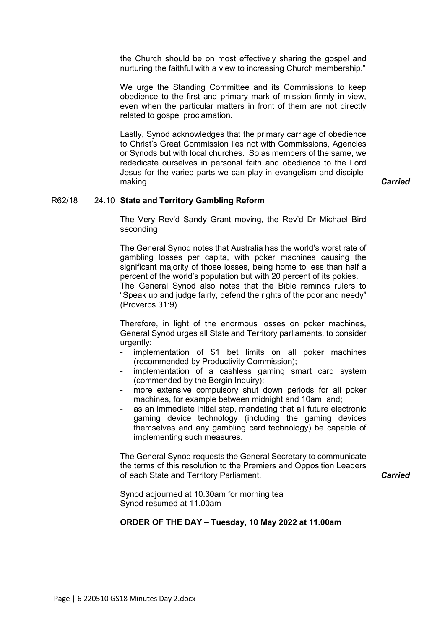the Church should be on most effectively sharing the gospel and nurturing the faithful with a view to increasing Church membership."

We urge the Standing Committee and its Commissions to keep obedience to the first and primary mark of mission firmly in view, even when the particular matters in front of them are not directly related to gospel proclamation.

Lastly, Synod acknowledges that the primary carriage of obedience to Christ's Great Commission lies not with Commissions, Agencies or Synods but with local churches. So as members of the same, we rededicate ourselves in personal faith and obedience to the Lord Jesus for the varied parts we can play in evangelism and disciplemaking. *Carried*

#### R62/18 24.10 **State and Territory Gambling Reform**

The Very Rev'd Sandy Grant moving, the Rev'd Dr Michael Bird seconding

The General Synod notes that Australia has the world's worst rate of gambling losses per capita, with poker machines causing the significant majority of those losses, being home to less than half a percent of the world's population but with 20 percent of its pokies. The General Synod also notes that the Bible reminds rulers to "Speak up and judge fairly, defend the rights of the poor and needy" (Proverbs 31:9).

Therefore, in light of the enormous losses on poker machines, General Synod urges all State and Territory parliaments, to consider urgently:

- implementation of \$1 bet limits on all poker machines (recommended by Productivity Commission);
- implementation of a cashless gaming smart card system (commended by the Bergin Inquiry);
- more extensive compulsory shut down periods for all poker machines, for example between midnight and 10am, and;
- as an immediate initial step, mandating that all future electronic gaming device technology (including the gaming devices themselves and any gambling card technology) be capable of implementing such measures.

The General Synod requests the General Secretary to communicate the terms of this resolution to the Premiers and Opposition Leaders of each State and Territory Parliament. *Carried*

Synod adjourned at 10.30am for morning tea Synod resumed at 11.00am

### **ORDER OF THE DAY – Tuesday, 10 May 2022 at 11.00am**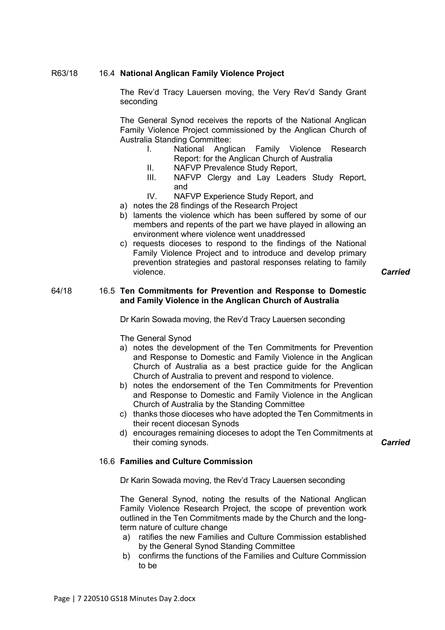### R63/18 16.4 **National Anglican Family Violence Project**

The Rev'd Tracy Lauersen moving, the Very Rev'd Sandy Grant seconding

The General Synod receives the reports of the National Anglican Family Violence Project commissioned by the Anglican Church of Australia Standing Committee:

- I. National Anglican Family Violence Research Report: for the Anglican Church of Australia
- II. NAFVP Prevalence Study Report,
- III. NAFVP Clergy and Lay Leaders Study Report, and
- IV. NAFVP Experience Study Report, and
- a) notes the 28 findings of the Research Project
- b) laments the violence which has been suffered by some of our members and repents of the part we have played in allowing an environment where violence went unaddressed
- c) requests dioceses to respond to the findings of the National Family Violence Project and to introduce and develop primary prevention strategies and pastoral responses relating to family violence. *Carried*

### 64/18 16.5 **Ten Commitments for Prevention and Response to Domestic and Family Violence in the Anglican Church of Australia**

Dr Karin Sowada moving, the Rev'd Tracy Lauersen seconding

The General Synod

- a) notes the development of the Ten Commitments for Prevention and Response to Domestic and Family Violence in the Anglican Church of Australia as a best practice guide for the Anglican Church of Australia to prevent and respond to violence.
- b) notes the endorsement of the Ten Commitments for Prevention and Response to Domestic and Family Violence in the Anglican Church of Australia by the Standing Committee
- c) thanks those dioceses who have adopted the Ten Commitments in their recent diocesan Synods
- d) encourages remaining dioceses to adopt the Ten Commitments at their coming synods. *Carried*

#### 16.6 **Families and Culture Commission**

Dr Karin Sowada moving, the Rev'd Tracy Lauersen seconding

The General Synod, noting the results of the National Anglican Family Violence Research Project, the scope of prevention work outlined in the Ten Commitments made by the Church and the longterm nature of culture change

- a) ratifies the new Families and Culture Commission established by the General Synod Standing Committee
- b) confirms the functions of the Families and Culture Commission to be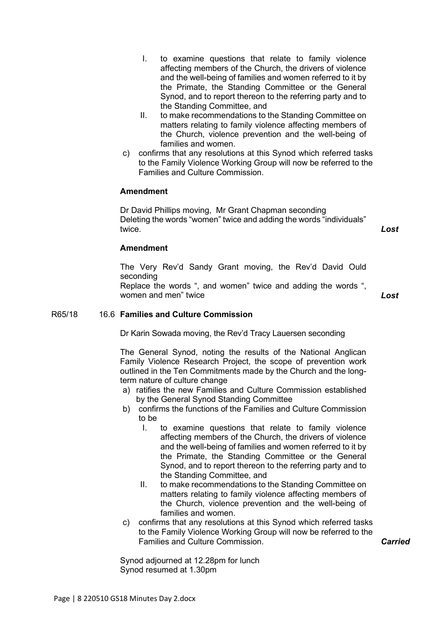- I. to examine questions that relate to family violence affecting members of the Church, the drivers of violence and the well-being of families and women referred to it by the Primate, the Standing Committee or the General Synod, and to report thereon to the referring party and to the Standing Committee, and
- II. to make recommendations to the Standing Committee on matters relating to family violence affecting members of the Church, violence prevention and the well-being of families and women.
- c) confirms that any resolutions at this Synod which referred tasks to the Family Violence Working Group will now be referred to the Families and Culture Commission.

# **Amendment**

Dr David Phillips moving, Mr Grant Chapman seconding Deleting the words "women" twice and adding the words "individuals" twice. *Lost*

# **Amendment**

The Very Rev'd Sandy Grant moving, the Rev'd David Ould seconding Replace the words ", and women" twice and adding the words ", women and men" twice *Lost*

#### R65/18 16.6 **Families and Culture Commission**

Dr Karin Sowada moving, the Rev'd Tracy Lauersen seconding

The General Synod, noting the results of the National Anglican Family Violence Research Project, the scope of prevention work outlined in the Ten Commitments made by the Church and the longterm nature of culture change

- a) ratifies the new Families and Culture Commission established by the General Synod Standing Committee
- b) confirms the functions of the Families and Culture Commission to be
	- I. to examine questions that relate to family violence affecting members of the Church, the drivers of violence and the well-being of families and women referred to it by the Primate, the Standing Committee or the General Synod, and to report thereon to the referring party and to the Standing Committee, and
	- II. to make recommendations to the Standing Committee on matters relating to family violence affecting members of the Church, violence prevention and the well-being of families and women.
- c) confirms that any resolutions at this Synod which referred tasks to the Family Violence Working Group will now be referred to the Families and Culture Commission. *Carried*

Synod adjourned at 12.28pm for lunch Synod resumed at 1.30pm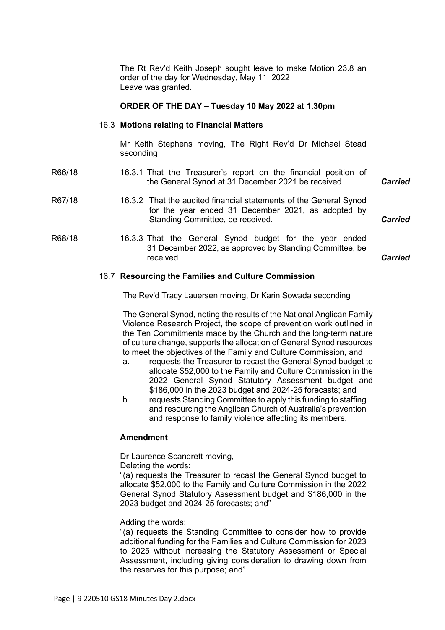The Rt Rev'd Keith Joseph sought leave to make Motion 23.8 an order of the day for Wednesday, May 11, 2022 Leave was granted.

### **ORDER OF THE DAY – Tuesday 10 May 2022 at 1.30pm**

### 16.3 **Motions relating to Financial Matters**

Mr Keith Stephens moving, The Right Rev'd Dr Michael Stead seconding

| R66/18 | 16.3.1 That the Treasurer's report on the financial position of<br>the General Synod at 31 December 2021 be received.                                       | <b>Carried</b> |
|--------|-------------------------------------------------------------------------------------------------------------------------------------------------------------|----------------|
| R67/18 | 16.3.2 That the audited financial statements of the General Synod<br>for the year ended 31 December 2021, as adopted by<br>Standing Committee, be received. | <b>Carried</b> |
| R68/18 | 16.3.3 That the General Synod budget for the year ended<br>31 December 2022, as approved by Standing Committee, be<br>received.                             | Carried        |

# *Carried*

#### 16.7 **Resourcing the Families and Culture Commission**

The Rev'd Tracy Lauersen moving, Dr Karin Sowada seconding

The General Synod, noting the results of the National Anglican Family Violence Research Project, the scope of prevention work outlined in the Ten Commitments made by the Church and the long-term nature of culture change, supports the allocation of General Synod resources to meet the objectives of the Family and Culture Commission, and

- a. requests the Treasurer to recast the General Synod budget to allocate \$52,000 to the Family and Culture Commission in the 2022 General Synod Statutory Assessment budget and \$186,000 in the 2023 budget and 2024-25 forecasts; and
- b. requests Standing Committee to apply this funding to staffing and resourcing the Anglican Church of Australia's prevention and response to family violence affecting its members.

### **Amendment**

Dr Laurence Scandrett moving,

Deleting the words:

"(a) requests the Treasurer to recast the General Synod budget to allocate \$52,000 to the Family and Culture Commission in the 2022 General Synod Statutory Assessment budget and \$186,000 in the 2023 budget and 2024-25 forecasts; and"

#### Adding the words:

"(a) requests the Standing Committee to consider how to provide additional funding for the Families and Culture Commission for 2023 to 2025 without increasing the Statutory Assessment or Special Assessment, including giving consideration to drawing down from the reserves for this purpose; and"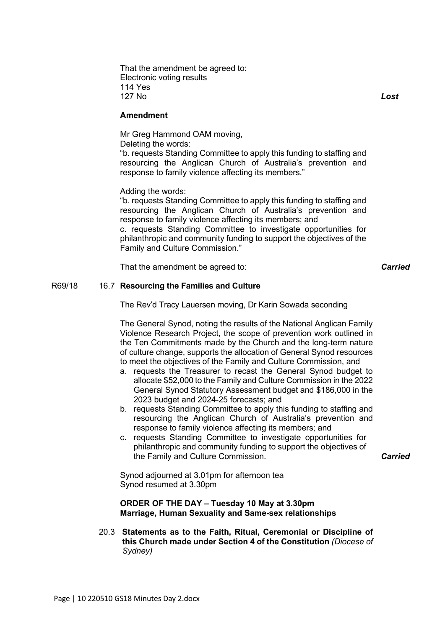That the amendment be agreed to: Electronic voting results 114 Yes 127 No *Lost*

**Amendment**

Mr Greg Hammond OAM moving,

Deleting the words:

"b. requests Standing Committee to apply this funding to staffing and resourcing the Anglican Church of Australia's prevention and response to family violence affecting its members."

Adding the words:

"b. requests Standing Committee to apply this funding to staffing and resourcing the Anglican Church of Australia's prevention and response to family violence affecting its members; and c. requests Standing Committee to investigate opportunities for philanthropic and community funding to support the objectives of the Family and Culture Commission."

That the amendment be agreed to: *Carried*

### R69/18 16.7 **Resourcing the Families and Culture**

The Rev'd Tracy Lauersen moving, Dr Karin Sowada seconding

The General Synod, noting the results of the National Anglican Family Violence Research Project, the scope of prevention work outlined in the Ten Commitments made by the Church and the long-term nature of culture change, supports the allocation of General Synod resources to meet the objectives of the Family and Culture Commission, and

- a. requests the Treasurer to recast the General Synod budget to allocate \$52,000 to the Family and Culture Commission in the 2022 General Synod Statutory Assessment budget and \$186,000 in the 2023 budget and 2024-25 forecasts; and
- b. requests Standing Committee to apply this funding to staffing and resourcing the Anglican Church of Australia's prevention and response to family violence affecting its members; and
- c. requests Standing Committee to investigate opportunities for philanthropic and community funding to support the objectives of the Family and Culture Commission. *Carried*

Synod adjourned at 3.01pm for afternoon tea Synod resumed at 3.30pm

**ORDER OF THE DAY – Tuesday 10 May at 3.30pm Marriage, Human Sexuality and Same-sex relationships**

20.3 **Statements as to the Faith, Ritual, Ceremonial or Discipline of this Church made under Section 4 of the Constitution** *(Diocese of Sydney)*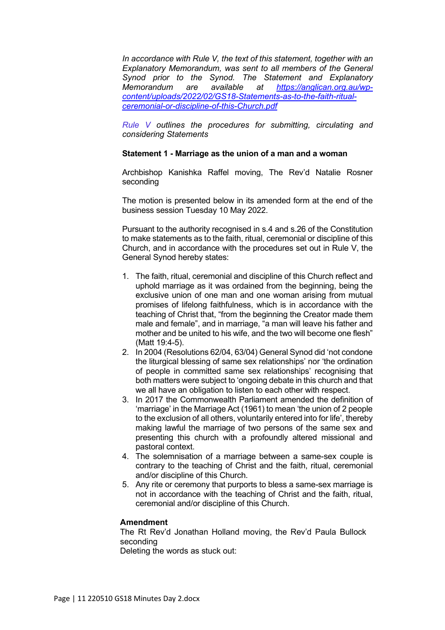*In accordance with Rule V, the text of this statement, together with an Explanatory Memorandum, was sent to all members of the General Synod prior to the Synod. The Statement and Explanatory Memorandum are available at [https://anglican.org.au/wp](https://anglican.org.au/wp-content/uploads/2022/02/GS18-Statements-as-to-the-faith-ritual-ceremonial-or-discipline-of-this-Church.pdf)[content/uploads/2022/02/GS18-Statements-as-to-the-faith-ritual](https://anglican.org.au/wp-content/uploads/2022/02/GS18-Statements-as-to-the-faith-ritual-ceremonial-or-discipline-of-this-Church.pdf)[ceremonial-or-discipline-of-this-Church.pdf](https://anglican.org.au/wp-content/uploads/2022/02/GS18-Statements-as-to-the-faith-ritual-ceremonial-or-discipline-of-this-Church.pdf)*

*[Rule](https://anglican.org.au/wp-content/uploads/2022/02/Rule-V-Statement-made-under-Section-4-of-the-Constitution.pdf) V outlines the procedures for submitting, circulating and considering Statements*

### **Statement 1 - Marriage as the union of a man and a woman**

Archbishop Kanishka Raffel moving, The Rev'd Natalie Rosner seconding

The motion is presented below in its amended form at the end of the business session Tuesday 10 May 2022.

Pursuant to the authority recognised in s.4 and s.26 of the Constitution to make statements as to the faith, ritual, ceremonial or discipline of this Church, and in accordance with the procedures set out in Rule V, the General Synod hereby states:

- 1. The faith, ritual, ceremonial and discipline of this Church reflect and uphold marriage as it was ordained from the beginning, being the exclusive union of one man and one woman arising from mutual promises of lifelong faithfulness, which is in accordance with the teaching of Christ that, "from the beginning the Creator made them male and female", and in marriage, "a man will leave his father and mother and be united to his wife, and the two will become one flesh" (Matt 19:4-5).
- 2. In 2004 (Resolutions 62/04, 63/04) General Synod did 'not condone the liturgical blessing of same sex relationships' nor 'the ordination of people in committed same sex relationships' recognising that both matters were subject to 'ongoing debate in this church and that we all have an obligation to listen to each other with respect.
- 3. In 2017 the Commonwealth Parliament amended the definition of 'marriage' in the Marriage Act (1961) to mean 'the union of 2 people to the exclusion of all others, voluntarily entered into for life', thereby making lawful the marriage of two persons of the same sex and presenting this church with a profoundly altered missional and pastoral context.
- 4. The solemnisation of a marriage between a same-sex couple is contrary to the teaching of Christ and the faith, ritual, ceremonial and/or discipline of this Church.
- 5. Any rite or ceremony that purports to bless a same-sex marriage is not in accordance with the teaching of Christ and the faith, ritual, ceremonial and/or discipline of this Church.

#### **Amendment**

The Rt Rev'd Jonathan Holland moving, the Rev'd Paula Bullock seconding

Deleting the words as stuck out: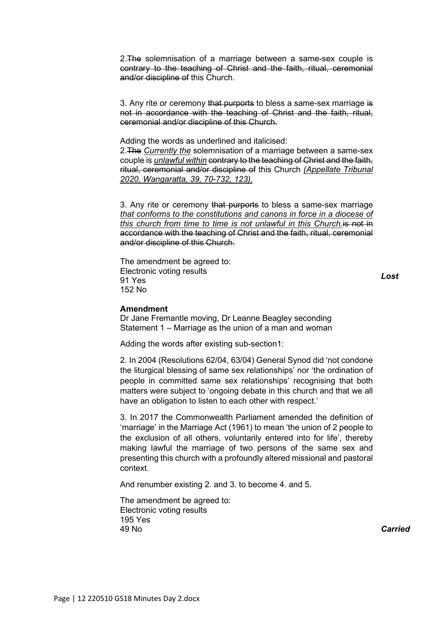2. The solemnisation of a marriage between a same-sex couple is contrary to the teaching of Christ and the faith, ritual, ceremonial and/or discipline of this Church.

3. Any rite or ceremony that purports to bless a same-sex marriage is not in accordance with the teaching of Christ and the faith, ritual, ceremonial and/or discipline of this Church.

Adding the words as underlined and italicised:

2.The *Currently the* solemnisation of a marriage between a same-sex couple is *unlawful within* contrary to the teaching of Christ and the faith, ritual, ceremonial and/or discipline of this Church *(Appellate Tribunal 2020, Wangaratta, 39, 70-732, 123).*

3. Any rite or ceremony that purports to bless a same-sex marriage *that conforms to the constitutions and canons in force in a diocese of this church from time to time is not unlawful in this Church.*is not in accordance with the teaching of Christ and the faith, ritual, ceremonial and/or discipline of this Church.

The amendment be agreed to: Electronic voting results 91 Yes 152 No

*Lost*

#### **Amendment**

Dr Jane Fremantle moving, Dr Leanne Beagley seconding Statement 1 – Marriage as the union of a man and woman

Adding the words after existing sub-section1:

2. In 2004 (Resolutions 62/04, 63/04) General Synod did 'not condone the liturgical blessing of same sex relationships' nor 'the ordination of people in committed same sex relationships' recognising that both matters were subject to 'ongoing debate in this church and that we all have an obligation to listen to each other with respect.'

3. In 2017 the Commonwealth Parliament amended the definition of 'marriage' in the Marriage Act (1961) to mean 'the union of 2 people to the exclusion of all others, voluntarily entered into for life', thereby making lawful the marriage of two persons of the same sex and presenting this church with a profoundly altered missional and pastoral context.

And renumber existing 2. and 3. to become 4. and 5.

The amendment be agreed to: Electronic voting results 195 Yes 49 No *Carried*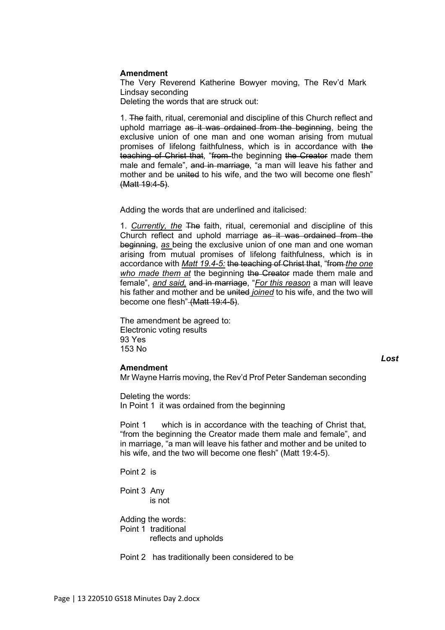#### **Amendment**

The Very Reverend Katherine Bowyer moving, The Rev'd Mark Lindsay seconding

Deleting the words that are struck out:

1. The faith, ritual, ceremonial and discipline of this Church reflect and uphold marriage as it was ordained from the beginning, being the exclusive union of one man and one woman arising from mutual promises of lifelong faithfulness, which is in accordance with the teaching of Christ that, "from the beginning the Creator made them male and female", and in marriage, "a man will leave his father and mother and be united to his wife, and the two will become one flesh" (Matt 19:4-5).

Adding the words that are underlined and italicised:

1. *Currently, the* The faith, ritual, ceremonial and discipline of this Church reflect and uphold marriage as it was ordained from the beginning, *as* being the exclusive union of one man and one woman arising from mutual promises of lifelong faithfulness, which is in accordance with *Matt 19.4-5:* the teaching of Christ that, "from *the one who made them at* the beginning the Creator made them male and female", *and said,* and in marriage, "*For this reason* a man will leave his father and mother and be united *joined* to his wife, and the two will become one flesh" (Matt 19:4-5).

The amendment be agreed to: Electronic voting results 93 Yes 153 No

#### *Lost*

#### **Amendment**

Mr Wayne Harris moving, the Rev'd Prof Peter Sandeman seconding

Deleting the words: In Point 1 it was ordained from the beginning

Point 1 which is in accordance with the teaching of Christ that, "from the beginning the Creator made them male and female", and in marriage, "a man will leave his father and mother and be united to his wife, and the two will become one flesh" (Matt 19:4-5).

Point 2 is

Point 3 Any is not

Adding the words: Point 1 traditional reflects and upholds

Point 2 has traditionally been considered to be